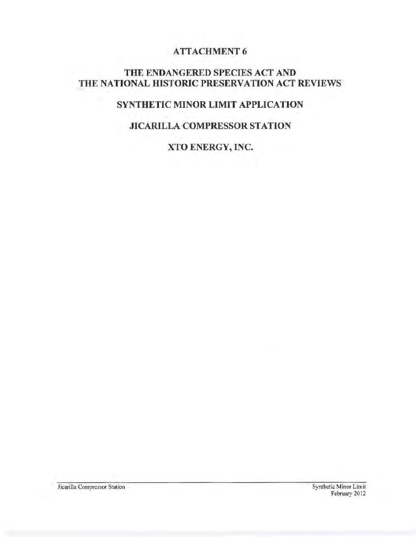# **ATTACHMENT 6**

### THE ENDANGERED SPECIES ACT AND THE NATIONAL HISTORIC PRESERVATION ACT REVIEWS

# SYNTHETIC MINOR LIMIT APPLICATION

# JICARILLA COMPRESSOR STATION

XTO ENERGY, INC.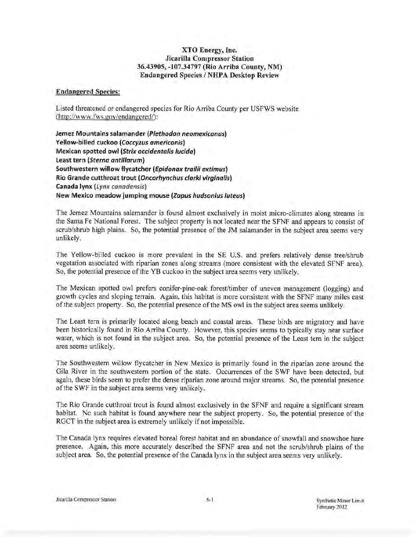### XTO Energy, Inc. Jicarilla Compressor Station 36.43905, -107.34797 (Rio Arriba County, NM) Endangered Species I NHPA Desktop Review

#### Endangered Species:

Listed threatened or endangered species for Rio Arriba County per USFWS website (http://www.fws.gov/endangered/):

Jemez Mountains salamander (Plethodon neomexicanus) Yellow-billed cuckoo (Coccyzus americanis) Mexican spotted owl (Strix occidentalis lucida) least tern (Sterno antillarum) Southwestern willow flycatcher (Epidonax trailii extimus) Rio Grande cutthroat trout (Oncorhynchus clarki virginalis) Canada lynx (Lynx canadensis) New Mexico meadow jumping mouse (Zapus hudsonius luteus)

The Jemez Mountains salamander is found almost exclusively in moist micro-climates along streams in the Santa Fe National Forest. The subject property is not located near the SFNF and appears to consist of scrub/shrub high plains. So, the potential presence of the JM salamander in the subject area seems very unlikely.

The Yellow-billed cuckoo is more prevalent in the SE U.S. and prefers relatively dense tree/shrub vegetation associated with riparian zones along streams (more consistent with the elevated SFNF area). So, the potential presence of the YB cuckoo in the subject area seems very unlikely.

The Mexican spotted owl prefers conifer-pine-oak forest/timber of uneven management (logging) and growth cycles and sloping terrain. Again, this habitat is more consistent with the SFNF many miles east of the subject property. So, the potential presence ofthe MS owl in the subject area seems unlikely.

The Least tern is primarily located along beach and coastal areas. These birds are migratory and have been historically found in Rio Arriba County. However, this species seems to typically stay near surface water, which is not found in the subject area. So, the potential presence of the Least tern in the subject area seems unlikely.

The Southwestern willow flycatcher in New Mexico is primarily found in the riparian zone around the Gila River in the southwestern portion of the state. Occurrences of the SWF have been detected, but again, these birds seem to prefer the dense riparian zone around major streams. So, the potential presence of the SWF in the subject area seems very unlikely.

The Rio Grande cutthroat trout is found almost exclusively in the SFNF and require a significant stream habitat. No such habitat is found anywhere near the subject property. So, the potential presence of the RGCT in the subject area is extremely unlikely if not impossible.

The Canada lynx requires elevated boreal forest habitat and an abundance of snowfall and snowshoe hare presence. Again, this more accurately described the SFNF area and not the scrub/shrub plains of the subject area. So, the potential presence of the Canada lynx in the subject area seems very unlikely.

Jicarilla Compressor Station 6-1 Synthetic Minor Limit